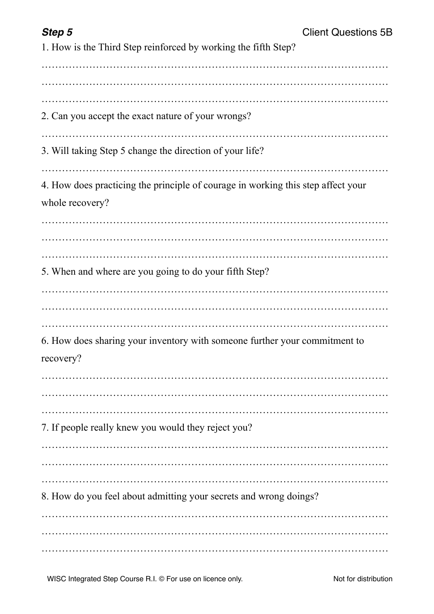| c<br>ווכ |  |
|----------|--|
|----------|--|

| 1. How is the Third Step reinforced by working the fifth Step?                                      |
|-----------------------------------------------------------------------------------------------------|
| 2. Can you accept the exact nature of your wrongs?                                                  |
| 3. Will taking Step 5 change the direction of your life?                                            |
| 4. How does practicing the principle of courage in working this step affect your<br>whole recovery? |
| 5. When and where are you going to do your fifth Step?                                              |
| 6. How does sharing your inventory with someone further your commitment to<br>recovery?             |
| 7. If people really knew you would they reject you?                                                 |
|                                                                                                     |
| 8. How do you feel about admitting your secrets and wrong doings?                                   |
|                                                                                                     |